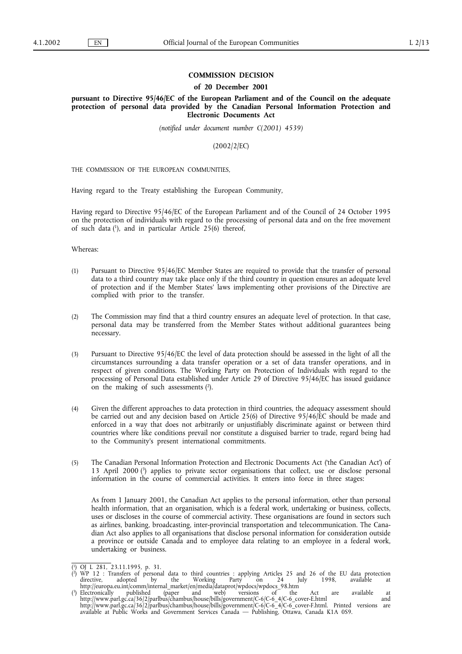## **COMMISSION DECISION**

#### **of 20 December 2001**

**pursuant to Directive 95/46/EC of the European Parliament and of the Council on the adequate protection of personal data provided by the Canadian Personal Information Protection and Electronic Documents Act**

*(notified under document number C(2001) 4539)*

(2002/2/EC)

THE COMMISSION OF THE EUROPEAN COMMUNITIES,

Having regard to the Treaty establishing the European Community,

Having regard to Directive 95/46/EC of the European Parliament and of the Council of 24 October 1995 on the protection of individuals with regard to the processing of personal data and on the free movement of such data  $(1)$ , and in particular Article 25(6) thereof,

Whereas:

- (1) Pursuant to Directive 95/46/EC Member States are required to provide that the transfer of personal data to a third country may take place only if the third country in question ensures an adequate level of protection and if the Member States' laws implementing other provisions of the Directive are complied with prior to the transfer.
- (2) The Commission may find that a third country ensures an adequate level of protection. In that case, personal data may be transferred from the Member States without additional guarantees being necessary.
- (3) Pursuant to Directive 95/46/EC the level of data protection should be assessed in the light of all the circumstances surrounding a data transfer operation or a set of data transfer operations, and in respect of given conditions. The Working Party on Protection of Individuals with regard to the processing of Personal Data established under Article 29 of Directive 95/46/EC has issued guidance on the making of such assessments  $(2)$ .
- (4) Given the different approaches to data protection in third countries, the adequacy assessment should be carried out and any decision based on Article 25(6) of Directive 95/46/EC should be made and enforced in a way that does not arbitrarily or unjustifiably discriminate against or between third countries where like conditions prevail nor constitute a disguised barrier to trade, regard being had to the Community's present international commitments.
- (5) The Canadian Personal Information Protection and Electronic Documents Act ('the Canadian Act') of 13 April 2000 (3) applies to private sector organisations that collect, use or disclose personal information in the course of commercial activities. It enters into force in three stages:

As from 1 January 2001, the Canadian Act applies to the personal information, other than personal health information, that an organisation, which is a federal work, undertaking or business, collects, uses or discloses in the course of commercial activity. These organisations are found in sectors such as airlines, banking, broadcasting, inter-provincial transportation and telecommunication. The Canadian Act also applies to all organisations that disclose personal information for consideration outside a province or outside Canada and to employee data relating to an employee in a federal work, undertaking or business.

<sup>(</sup> 1) OJ L 281, 23.11.1995, p. 31.

<sup>(</sup> 2) WP 12 : Transfers of personal data to third countries : applying Articles 25 and 26 of the EU data protection directive, adopted by the Working Party on 24 July 1998, available at http://europa.eu.int/comm/internal\_market/en/media/dataprot/wpdocs/wpdocs\_98.htm<br>http://europa.eu.int/comm/internal\_market/en/media/dataprot/wpdocs/wpdocs\_98.htm<br>Electronically published (paper and web) versions of the

<sup>(</sup> 3) Electronically published (paper and web) versions of the Act are available at http://www.parl.gc.ca/36/2/parlbus/chambus/house/bills/government/C-6/C-6\_4/C-6\_cover-E.html and http://www.parl.gc.ca/36/2/parlbus/chambus/house/bills/government/C-6/C-6\_4/C-6\_cover-F.html. Printed versions are available at Public Works and Government Services Canada — Publishing, Ottawa, Canada K1A 0S9.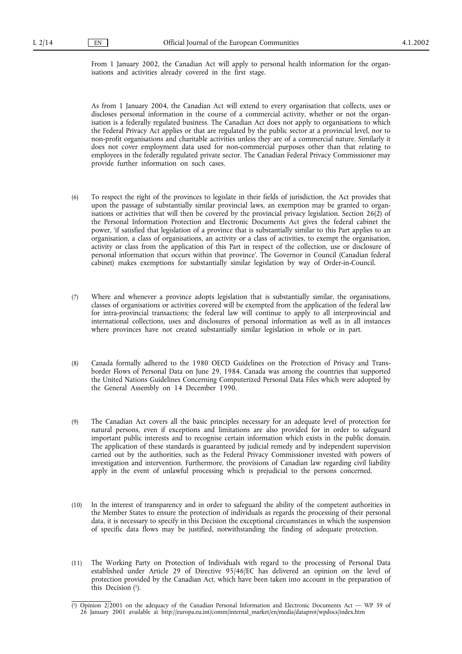From 1 January 2002, the Canadian Act will apply to personal health information for the organisations and activities already covered in the first stage.

As from 1 January 2004, the Canadian Act will extend to every organisation that collects, uses or discloses personal information in the course of a commercial activity, whether or not the organisation is a federally regulated business. The Canadian Act does not apply to organisations to which the Federal Privacy Act applies or that are regulated by the public sector at a provincial level, nor to non-profit organisations and charitable activities unless they are of a commercial nature. Similarly it does not cover employment data used for non-commercial purposes other than that relating to employees in the federally regulated private sector. The Canadian Federal Privacy Commissioner may provide further information on such cases.

- (6) To respect the right of the provinces to legislate in their fields of jurisdiction, the Act provides that upon the passage of substantially similar provincial laws, an exemption may be granted to organisations or activities that will then be covered by the provincial privacy legislation. Section 26(2) of the Personal Information Protection and Electronic Documents Act gives the federal cabinet the power, 'if satisfied that legislation of a province that is substantially similar to this Part applies to an organisation, a class of organisations, an activity or a class of activities, to exempt the organisation, activity or class from the application of this Part in respect of the collection, use or disclosure of personal information that occurs within that province'. The Governor in Council (Canadian federal cabinet) makes exemptions for substantially similar legislation by way of Order-in-Council.
- (7) Where and whenever a province adopts legislation that is substantially similar, the organisations, classes of organisations or activities covered will be exempted from the application of the federal law for intra-provincial transactions; the federal law will continue to apply to all interprovincial and international collections, uses and disclosures of personal information as well as in all instances where provinces have not created substantially similar legislation in whole or in part.
- (8) Canada formally adhered to the 1980 OECD Guidelines on the Protection of Privacy and Transborder Flows of Personal Data on June 29, 1984. Canada was among the countries that supported the United Nations Guidelines Concerning Computerized Personal Data Files which were adopted by the General Assembly on 14 December 1990.
- (9) The Canadian Act covers all the basic principles necessary for an adequate level of protection for natural persons, even if exceptions and limitations are also provided for in order to safeguard important public interests and to recognise certain information which exists in the public domain. The application of these standards is guaranteed by judicial remedy and by independent supervision carried out by the authorities, such as the Federal Privacy Commissioner invested with powers of investigation and intervention. Furthermore, the provisions of Canadian law regarding civil liability apply in the event of unlawful processing which is prejudicial to the persons concerned.
- (10) In the interest of transparency and in order to safeguard the ability of the competent authorities in the Member States to ensure the protection of individuals as regards the processing of their personal data, it is necessary to specify in this Decision the exceptional circumstances in which the suspension of specific data flows may be justified, notwithstanding the finding of adequate protection.
- (11) The Working Party on Protection of Individuals with regard to the processing of Personal Data established under Article 29 of Directive 95/46/EC has delivered an opinion on the level of protection provided by the Canadian Act, which have been taken into account in the preparation of this Decision (1).

<sup>(</sup> 1) Opinion 2/2001 on the adequacy of the Canadian Personal Information and Electronic Documents Act — WP 39 of 26 January 2001 available at http://europa.eu.int/comm/internal\_market/en/media/dataprot/wpdocs/index.htm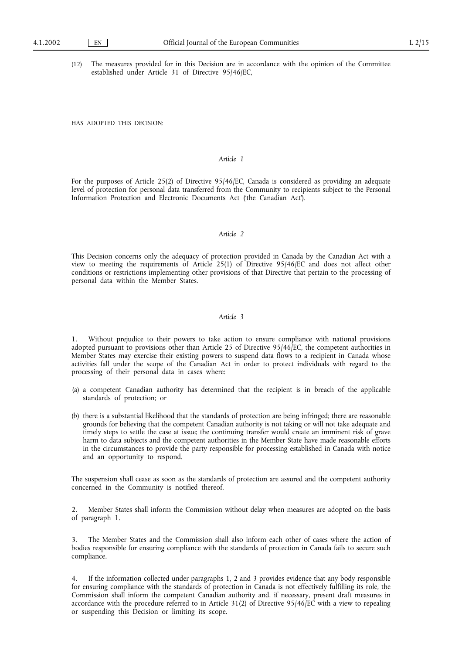(12) The measures provided for in this Decision are in accordance with the opinion of the Committee established under Article 31 of Directive 95/46/EC,

HAS ADOPTED THIS DECISION:

### *Article 1*

For the purposes of Article 25(2) of Directive 95/46/EC, Canada is considered as providing an adequate level of protection for personal data transferred from the Community to recipients subject to the Personal Information Protection and Electronic Documents Act ('the Canadian Act').

# *Article 2*

This Decision concerns only the adequacy of protection provided in Canada by the Canadian Act with a view to meeting the requirements of Article 25(1) of Directive 95/46/EC and does not affect other conditions or restrictions implementing other provisions of that Directive that pertain to the processing of personal data within the Member States.

### *Article 3*

Without prejudice to their powers to take action to ensure compliance with national provisions adopted pursuant to provisions other than Article 25 of Directive 95/46/EC, the competent authorities in Member States may exercise their existing powers to suspend data flows to a recipient in Canada whose activities fall under the scope of the Canadian Act in order to protect individuals with regard to the processing of their personal data in cases where:

- (a) a competent Canadian authority has determined that the recipient is in breach of the applicable standards of protection; or
- (b) there is a substantial likelihood that the standards of protection are being infringed; there are reasonable grounds for believing that the competent Canadian authority is not taking or will not take adequate and timely steps to settle the case at issue; the continuing transfer would create an imminent risk of grave harm to data subjects and the competent authorities in the Member State have made reasonable efforts in the circumstances to provide the party responsible for processing established in Canada with notice and an opportunity to respond.

The suspension shall cease as soon as the standards of protection are assured and the competent authority concerned in the Community is notified thereof.

2. Member States shall inform the Commission without delay when measures are adopted on the basis of paragraph 1.

3. The Member States and the Commission shall also inform each other of cases where the action of bodies responsible for ensuring compliance with the standards of protection in Canada fails to secure such compliance.

4. If the information collected under paragraphs 1, 2 and 3 provides evidence that any body responsible for ensuring compliance with the standards of protection in Canada is not effectively fulfilling its role, the Commission shall inform the competent Canadian authority and, if necessary, present draft measures in accordance with the procedure referred to in Article 31(2) of Directive 95/46/EC with a view to repealing or suspending this Decision or limiting its scope.